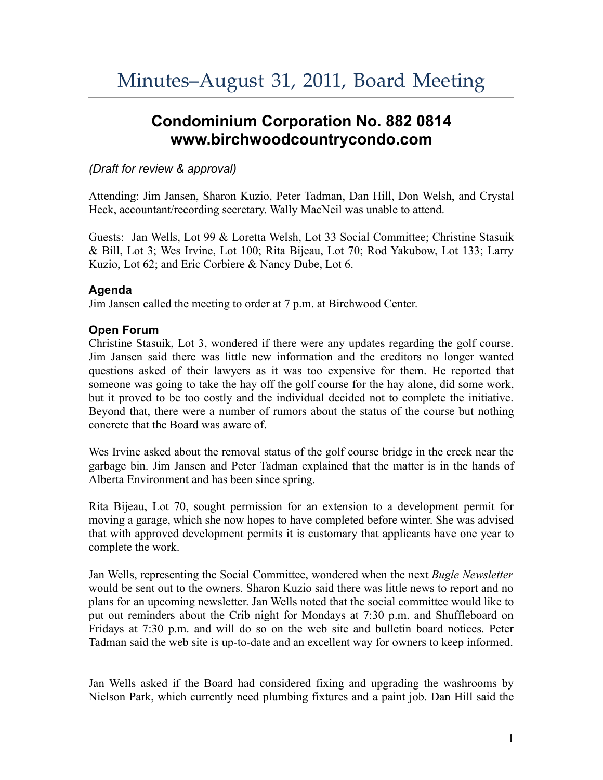# **Condominium Corporation No. 882 0814 www.birchwoodcountrycondo.com**

# *(Draft for review & approval)*

Attending: Jim Jansen, Sharon Kuzio, Peter Tadman, Dan Hill, Don Welsh, and Crystal Heck, accountant/recording secretary. Wally MacNeil was unable to attend.

Guests: Jan Wells, Lot 99 & Loretta Welsh, Lot 33 Social Committee; Christine Stasuik & Bill, Lot 3; Wes Irvine, Lot 100; Rita Bijeau, Lot 70; Rod Yakubow, Lot 133; Larry Kuzio, Lot 62; and Eric Corbiere & Nancy Dube, Lot 6.

## **Agenda**

Jim Jansen called the meeting to order at 7 p.m. at Birchwood Center.

## **Open Forum**

Christine Stasuik, Lot 3, wondered if there were any updates regarding the golf course. Jim Jansen said there was little new information and the creditors no longer wanted questions asked of their lawyers as it was too expensive for them. He reported that someone was going to take the hay off the golf course for the hay alone, did some work, but it proved to be too costly and the individual decided not to complete the initiative. Beyond that, there were a number of rumors about the status of the course but nothing concrete that the Board was aware of.

Wes Irvine asked about the removal status of the golf course bridge in the creek near the garbage bin. Jim Jansen and Peter Tadman explained that the matter is in the hands of Alberta Environment and has been since spring.

Rita Bijeau, Lot 70, sought permission for an extension to a development permit for moving a garage, which she now hopes to have completed before winter. She was advised that with approved development permits it is customary that applicants have one year to complete the work.

Jan Wells, representing the Social Committee, wondered when the next *Bugle Newsletter* would be sent out to the owners. Sharon Kuzio said there was little news to report and no plans for an upcoming newsletter. Jan Wells noted that the social committee would like to put out reminders about the Crib night for Mondays at 7:30 p.m. and Shuffleboard on Fridays at 7:30 p.m. and will do so on the web site and bulletin board notices. Peter Tadman said the web site is up-to-date and an excellent way for owners to keep informed.

Jan Wells asked if the Board had considered fixing and upgrading the washrooms by Nielson Park, which currently need plumbing fixtures and a paint job. Dan Hill said the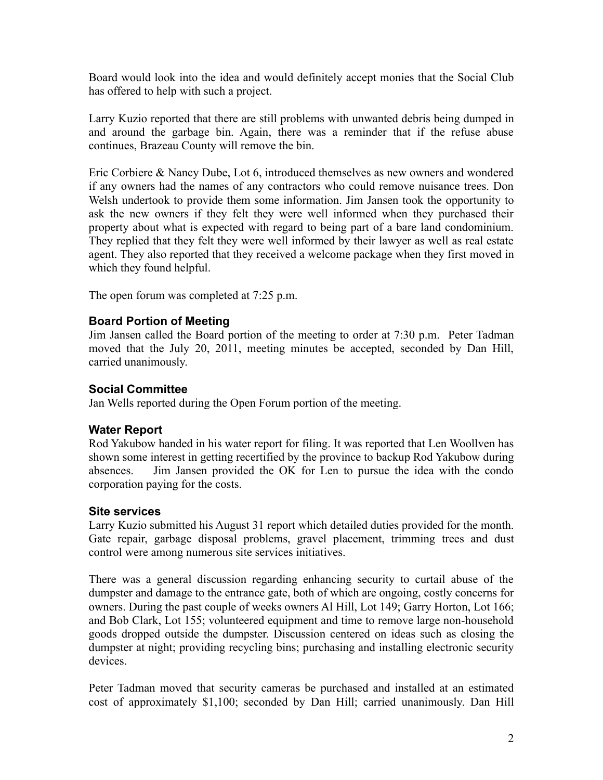Board would look into the idea and would definitely accept monies that the Social Club has offered to help with such a project.

Larry Kuzio reported that there are still problems with unwanted debris being dumped in and around the garbage bin. Again, there was a reminder that if the refuse abuse continues, Brazeau County will remove the bin.

Eric Corbiere & Nancy Dube, Lot 6, introduced themselves as new owners and wondered if any owners had the names of any contractors who could remove nuisance trees. Don Welsh undertook to provide them some information. Jim Jansen took the opportunity to ask the new owners if they felt they were well informed when they purchased their property about what is expected with regard to being part of a bare land condominium. They replied that they felt they were well informed by their lawyer as well as real estate agent. They also reported that they received a welcome package when they first moved in which they found helpful.

The open forum was completed at 7:25 p.m.

## **Board Portion of Meeting**

Jim Jansen called the Board portion of the meeting to order at 7:30 p.m. Peter Tadman moved that the July 20, 2011, meeting minutes be accepted, seconded by Dan Hill, carried unanimously.

#### **Social Committee**

Jan Wells reported during the Open Forum portion of the meeting.

#### **Water Report**

Rod Yakubow handed in his water report for filing. It was reported that Len Woollven has shown some interest in getting recertified by the province to backup Rod Yakubow during absences. Jim Jansen provided the OK for Len to pursue the idea with the condo corporation paying for the costs.

#### **Site services**

Larry Kuzio submitted his August 31 report which detailed duties provided for the month. Gate repair, garbage disposal problems, gravel placement, trimming trees and dust control were among numerous site services initiatives.

There was a general discussion regarding enhancing security to curtail abuse of the dumpster and damage to the entrance gate, both of which are ongoing, costly concerns for owners. During the past couple of weeks owners Al Hill, Lot 149; Garry Horton, Lot 166; and Bob Clark, Lot 155; volunteered equipment and time to remove large non-household goods dropped outside the dumpster. Discussion centered on ideas such as closing the dumpster at night; providing recycling bins; purchasing and installing electronic security devices.

Peter Tadman moved that security cameras be purchased and installed at an estimated cost of approximately \$1,100; seconded by Dan Hill; carried unanimously. Dan Hill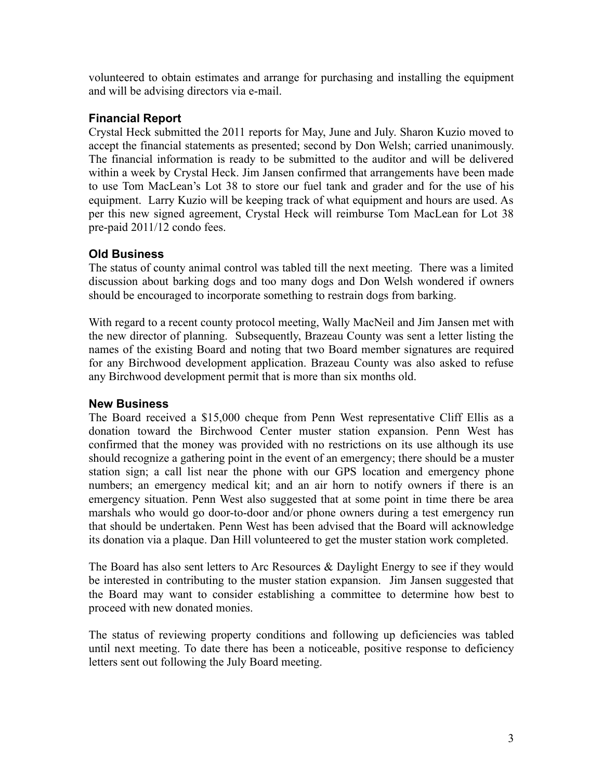volunteered to obtain estimates and arrange for purchasing and installing the equipment and will be advising directors via e-mail.

#### **Financial Report**

Crystal Heck submitted the 2011 reports for May, June and July. Sharon Kuzio moved to accept the financial statements as presented; second by Don Welsh; carried unanimously. The financial information is ready to be submitted to the auditor and will be delivered within a week by Crystal Heck. Jim Jansen confirmed that arrangements have been made to use Tom MacLean's Lot 38 to store our fuel tank and grader and for the use of his equipment. Larry Kuzio will be keeping track of what equipment and hours are used. As per this new signed agreement, Crystal Heck will reimburse Tom MacLean for Lot 38 pre-paid 2011/12 condo fees.

# **Old Business**

The status of county animal control was tabled till the next meeting. There was a limited discussion about barking dogs and too many dogs and Don Welsh wondered if owners should be encouraged to incorporate something to restrain dogs from barking.

With regard to a recent county protocol meeting, Wally MacNeil and Jim Jansen met with the new director of planning. Subsequently, Brazeau County was sent a letter listing the names of the existing Board and noting that two Board member signatures are required for any Birchwood development application. Brazeau County was also asked to refuse any Birchwood development permit that is more than six months old.

# **New Business**

The Board received a \$15,000 cheque from Penn West representative Cliff Ellis as a donation toward the Birchwood Center muster station expansion. Penn West has confirmed that the money was provided with no restrictions on its use although its use should recognize a gathering point in the event of an emergency; there should be a muster station sign; a call list near the phone with our GPS location and emergency phone numbers; an emergency medical kit; and an air horn to notify owners if there is an emergency situation. Penn West also suggested that at some point in time there be area marshals who would go door-to-door and/or phone owners during a test emergency run that should be undertaken. Penn West has been advised that the Board will acknowledge its donation via a plaque. Dan Hill volunteered to get the muster station work completed.

The Board has also sent letters to Arc Resources & Daylight Energy to see if they would be interested in contributing to the muster station expansion. Jim Jansen suggested that the Board may want to consider establishing a committee to determine how best to proceed with new donated monies.

The status of reviewing property conditions and following up deficiencies was tabled until next meeting. To date there has been a noticeable, positive response to deficiency letters sent out following the July Board meeting.